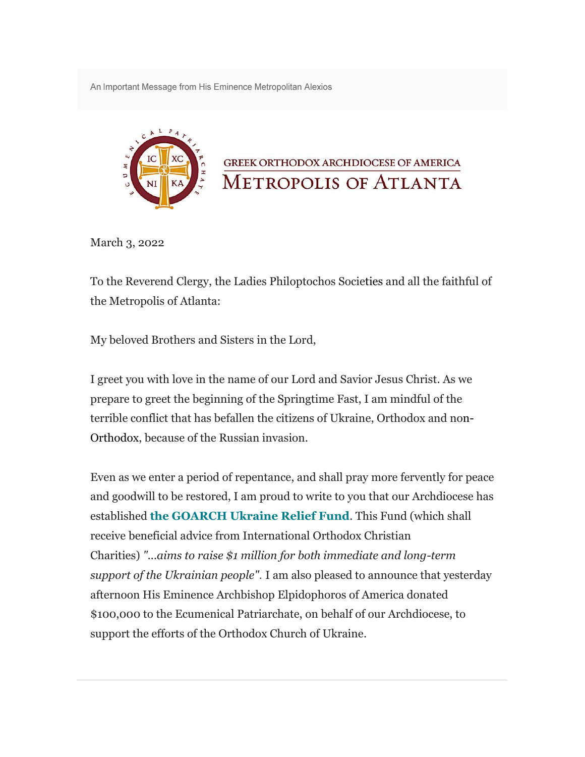An Important Message from His Eminence Metropolitan Alexios



March 3, 2022

To the Reverend Clergy, the Ladies Philoptochos Societies and all the faithful of the Metropolis of Atlanta:

My beloved Brothers and Sisters in the Lord,

I greet you with love in the name of our Lord and Savior Jesus Christ. As we prepare to greet the beginning of the Springtime Fast, I am mindful of the terrible conflict that has befallen the citizens of Ukraine, Orthodox and non-Orthodox, because of the Russian invasion.

Even as we enter a period of repentance, and shall pray more fervently for peace and goodwill to be restored, I am proud to write to you that our Archdiocese has established **[the GOARCH Ukraine](https://www.goarch.org/donate/ukraine) Relief Fund**. This Fund (which shall receive beneficial advice from International Orthodox Christian Charities) *"...aims to raise \$1 million for both immediate and long-term support of the Ukrainian people".* I am also pleased to announce that yesterday afternoon His Eminence Archbishop Elpidophoros of America donated \$100,000 to the Ecumenical Patriarchate, on behalf of our Archdiocese, to support the efforts of the Orthodox Church of Ukraine.